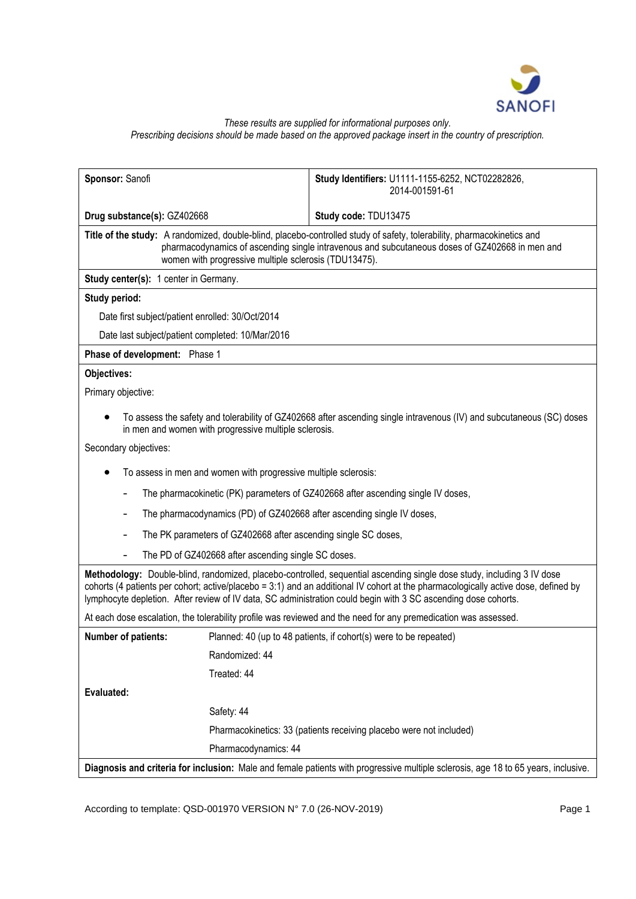

# *These results are supplied for informational purposes only. Prescribing decisions should be made based on the approved package insert in the country of prescription.*

| Sponsor: Sanofi                                                                                                                                                                                                                                                                                                                                                                | Study Identifiers: U1111-1155-6252, NCT02282826,<br>2014-001591-61  |  |  |  |
|--------------------------------------------------------------------------------------------------------------------------------------------------------------------------------------------------------------------------------------------------------------------------------------------------------------------------------------------------------------------------------|---------------------------------------------------------------------|--|--|--|
| Drug substance(s): GZ402668                                                                                                                                                                                                                                                                                                                                                    | Study code: TDU13475                                                |  |  |  |
| Title of the study: A randomized, double-blind, placebo-controlled study of safety, tolerability, pharmacokinetics and<br>pharmacodynamics of ascending single intravenous and subcutaneous doses of GZ402668 in men and<br>women with progressive multiple sclerosis (TDU13475).                                                                                              |                                                                     |  |  |  |
| Study center(s): 1 center in Germany.                                                                                                                                                                                                                                                                                                                                          |                                                                     |  |  |  |
| Study period:                                                                                                                                                                                                                                                                                                                                                                  |                                                                     |  |  |  |
| Date first subject/patient enrolled: 30/Oct/2014                                                                                                                                                                                                                                                                                                                               |                                                                     |  |  |  |
| Date last subject/patient completed: 10/Mar/2016                                                                                                                                                                                                                                                                                                                               |                                                                     |  |  |  |
| Phase of development: Phase 1                                                                                                                                                                                                                                                                                                                                                  |                                                                     |  |  |  |
| Objectives:                                                                                                                                                                                                                                                                                                                                                                    |                                                                     |  |  |  |
| Primary objective:                                                                                                                                                                                                                                                                                                                                                             |                                                                     |  |  |  |
| To assess the safety and tolerability of GZ402668 after ascending single intravenous (IV) and subcutaneous (SC) doses<br>in men and women with progressive multiple sclerosis.                                                                                                                                                                                                 |                                                                     |  |  |  |
| Secondary objectives:                                                                                                                                                                                                                                                                                                                                                          |                                                                     |  |  |  |
| To assess in men and women with progressive multiple sclerosis:                                                                                                                                                                                                                                                                                                                |                                                                     |  |  |  |
| The pharmacokinetic (PK) parameters of GZ402668 after ascending single IV doses,                                                                                                                                                                                                                                                                                               |                                                                     |  |  |  |
| The pharmacodynamics (PD) of GZ402668 after ascending single IV doses,<br>-                                                                                                                                                                                                                                                                                                    |                                                                     |  |  |  |
| The PK parameters of GZ402668 after ascending single SC doses,<br>$\overline{\phantom{a}}$                                                                                                                                                                                                                                                                                     |                                                                     |  |  |  |
| The PD of GZ402668 after ascending single SC doses.                                                                                                                                                                                                                                                                                                                            |                                                                     |  |  |  |
| Methodology: Double-blind, randomized, placebo-controlled, sequential ascending single dose study, including 3 IV dose<br>cohorts (4 patients per cohort; active/placebo = 3:1) and an additional IV cohort at the pharmacologically active dose, defined by<br>lymphocyte depletion. After review of IV data, SC administration could begin with 3 SC ascending dose cohorts. |                                                                     |  |  |  |
| At each dose escalation, the tolerability profile was reviewed and the need for any premedication was assessed.                                                                                                                                                                                                                                                                |                                                                     |  |  |  |
| Number of patients:                                                                                                                                                                                                                                                                                                                                                            | Planned: 40 (up to 48 patients, if cohort(s) were to be repeated)   |  |  |  |
| Randomized: 44                                                                                                                                                                                                                                                                                                                                                                 |                                                                     |  |  |  |
| Treated: 44                                                                                                                                                                                                                                                                                                                                                                    |                                                                     |  |  |  |
| Evaluated:                                                                                                                                                                                                                                                                                                                                                                     |                                                                     |  |  |  |
| Safety: 44                                                                                                                                                                                                                                                                                                                                                                     |                                                                     |  |  |  |
|                                                                                                                                                                                                                                                                                                                                                                                | Pharmacokinetics: 33 (patients receiving placebo were not included) |  |  |  |
| Pharmacodynamics: 44                                                                                                                                                                                                                                                                                                                                                           |                                                                     |  |  |  |
| Diagnosis and criteria for inclusion: Male and female patients with progressive multiple sclerosis, age 18 to 65 years, inclusive.                                                                                                                                                                                                                                             |                                                                     |  |  |  |

According to template: QSD-001970 VERSION N° 7.0 (26-NOV-2019) Page 1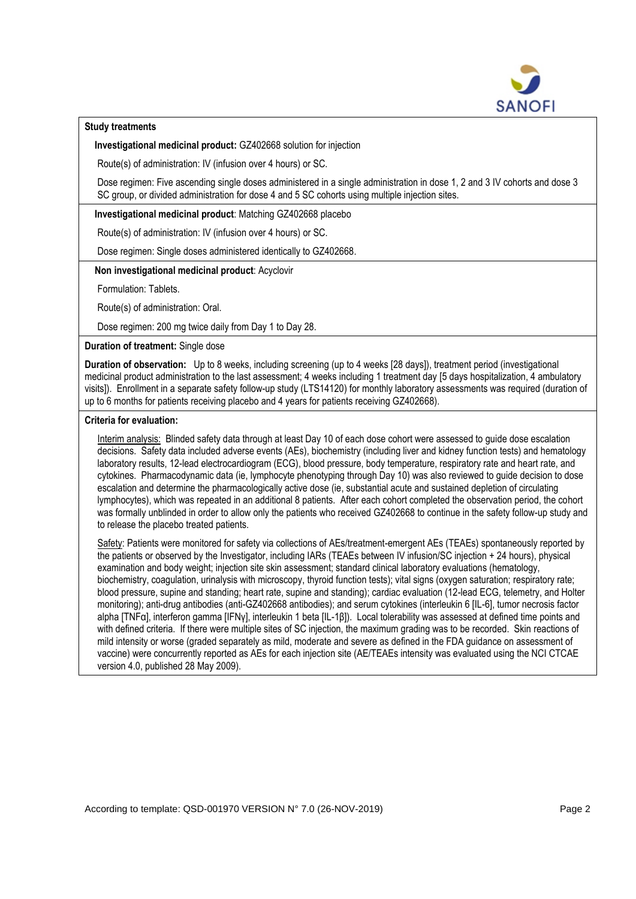

## **Study treatments**

**Investigational medicinal product:** GZ402668 solution for injection

Route(s) of administration: IV (infusion over 4 hours) or SC.

Dose regimen: Five ascending single doses administered in a single administration in dose 1, 2 and 3 IV cohorts and dose 3 SC group, or divided administration for dose 4 and 5 SC cohorts using multiple injection sites.

**Investigational medicinal product**: Matching GZ402668 placebo

Route(s) of administration: IV (infusion over 4 hours) or SC.

Dose regimen: Single doses administered identically to GZ402668.

**Non investigational medicinal product**: Acyclovir

Formulation: Tablets.

Route(s) of administration: Oral.

Dose regimen: 200 mg twice daily from Day 1 to Day 28.

## **Duration of treatment:** Single dose

**Duration of observation:** Up to 8 weeks, including screening (up to 4 weeks [28 days]), treatment period (investigational medicinal product administration to the last assessment; 4 weeks including 1 treatment day [5 days hospitalization, 4 ambulatory visits]). Enrollment in a separate safety follow-up study (LTS14120) for monthly laboratory assessments was required (duration of up to 6 months for patients receiving placebo and 4 years for patients receiving GZ402668).

## **Criteria for evaluation:**

Interim analysis: Blinded safety data through at least Day 10 of each dose cohort were assessed to guide dose escalation decisions. Safety data included adverse events (AEs), biochemistry (including liver and kidney function tests) and hematology laboratory results, 12-lead electrocardiogram (ECG), blood pressure, body temperature, respiratory rate and heart rate, and cytokines. Pharmacodynamic data (ie, lymphocyte phenotyping through Day 10) was also reviewed to guide decision to dose escalation and determine the pharmacologically active dose (ie, substantial acute and sustained depletion of circulating lymphocytes), which was repeated in an additional 8 patients. After each cohort completed the observation period, the cohort was formally unblinded in order to allow only the patients who received GZ402668 to continue in the safety follow-up study and to release the placebo treated patients.

Safety: Patients were monitored for safety via collections of AEs/treatment-emergent AEs (TEAEs) spontaneously reported by the patients or observed by the Investigator, including IARs (TEAEs between IV infusion/SC injection + 24 hours), physical examination and body weight; injection site skin assessment; standard clinical laboratory evaluations (hematology, biochemistry, coagulation, urinalysis with microscopy, thyroid function tests); vital signs (oxygen saturation; respiratory rate; blood pressure, supine and standing; heart rate, supine and standing); cardiac evaluation (12-lead ECG, telemetry, and Holter monitoring); anti-drug antibodies (anti-GZ402668 antibodies); and serum cytokines (interleukin 6 [IL-6], tumor necrosis factor alpha [TNFα], interferon gamma [IFNγ], interleukin 1 beta [IL-1β]). Local tolerability was assessed at defined time points and with defined criteria. If there were multiple sites of SC injection, the maximum grading was to be recorded. Skin reactions of mild intensity or worse (graded separately as mild, moderate and severe as defined in the FDA guidance on assessment of vaccine) were concurrently reported as AEs for each injection site (AE/TEAEs intensity was evaluated using the NCI CTCAE version 4.0, published 28 May 2009).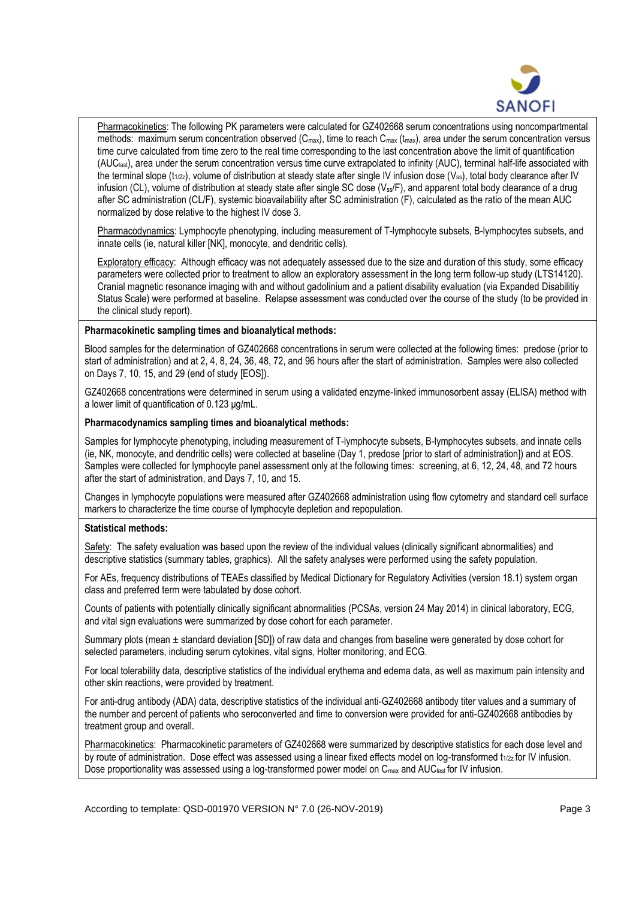

Pharmacokinetics: The following PK parameters were calculated for GZ402668 serum concentrations using noncompartmental methods: maximum serum concentration observed  $(C_{\text{max}})$ , time to reach  $C_{\text{max}}$  (t<sub>max</sub>), area under the serum concentration versus time curve calculated from time zero to the real time corresponding to the last concentration above the limit of quantification (AUClast), area under the serum concentration versus time curve extrapolated to infinity (AUC), terminal half-life associated with the terminal slope ( $t_{1/2z}$ ), volume of distribution at steady state after single IV infusion dose ( $V_{ss}$ ), total body clearance after IV infusion (CL), volume of distribution at steady state after single SC dose ( $V_{ss}/F$ ), and apparent total body clearance of a drug after SC administration (CL/F), systemic bioavailability after SC administration (F), calculated as the ratio of the mean AUC normalized by dose relative to the highest IV dose 3.

Pharmacodynamics: Lymphocyte phenotyping, including measurement of T-lymphocyte subsets, B-lymphocytes subsets, and innate cells (ie, natural killer [NK], monocyte, and dendritic cells).

Exploratory efficacy: Although efficacy was not adequately assessed due to the size and duration of this study, some efficacy parameters were collected prior to treatment to allow an exploratory assessment in the long term follow-up study (LTS14120). Cranial magnetic resonance imaging with and without gadolinium and a patient disability evaluation (via Expanded Disabilitiy Status Scale) were performed at baseline. Relapse assessment was conducted over the course of the study (to be provided in the clinical study report).

## **Pharmacokinetic sampling times and bioanalytical methods:**

Blood samples for the determination of GZ402668 concentrations in serum were collected at the following times: predose (prior to start of administration) and at 2, 4, 8, 24, 36, 48, 72, and 96 hours after the start of administration. Samples were also collected on Days 7, 10, 15, and 29 (end of study [EOS]).

GZ402668 concentrations were determined in serum using a validated enzyme-linked immunosorbent assay (ELISA) method with a lower limit of quantification of 0.123 μg/mL.

## **Pharmacodynamics sampling times and bioanalytical methods:**

Samples for lymphocyte phenotyping, including measurement of T-lymphocyte subsets, B-lymphocytes subsets, and innate cells (ie, NK, monocyte, and dendritic cells) were collected at baseline (Day 1, predose [prior to start of administration]) and at EOS. Samples were collected for lymphocyte panel assessment only at the following times: screening, at 6, 12, 24, 48, and 72 hours after the start of administration, and Days 7, 10, and 15.

Changes in lymphocyte populations were measured after GZ402668 administration using flow cytometry and standard cell surface markers to characterize the time course of lymphocyte depletion and repopulation.

#### **Statistical methods:**

Safety: The safety evaluation was based upon the review of the individual values (clinically significant abnormalities) and descriptive statistics (summary tables, graphics). All the safety analyses were performed using the safety population.

For AEs, frequency distributions of TEAEs classified by Medical Dictionary for Regulatory Activities (version 18.1) system organ class and preferred term were tabulated by dose cohort.

Counts of patients with potentially clinically significant abnormalities (PCSAs, version 24 May 2014) in clinical laboratory, ECG, and vital sign evaluations were summarized by dose cohort for each parameter.

Summary plots (mean ± standard deviation [SD]) of raw data and changes from baseline were generated by dose cohort for selected parameters, including serum cytokines, vital signs, Holter monitoring, and ECG.

For local tolerability data, descriptive statistics of the individual erythema and edema data, as well as maximum pain intensity and other skin reactions, were provided by treatment.

For anti-drug antibody (ADA) data, descriptive statistics of the individual anti-GZ402668 antibody titer values and a summary of the number and percent of patients who seroconverted and time to conversion were provided for anti-GZ402668 antibodies by treatment group and overall.

Pharmacokinetics: Pharmacokinetic parameters of GZ402668 were summarized by descriptive statistics for each dose level and by route of administration. Dose effect was assessed using a linear fixed effects model on log-transformed t<sub>1/2z</sub> for IV infusion. Dose proportionality was assessed using a log-transformed power model on C<sub>max</sub> and AUC<sub>last</sub> for IV infusion.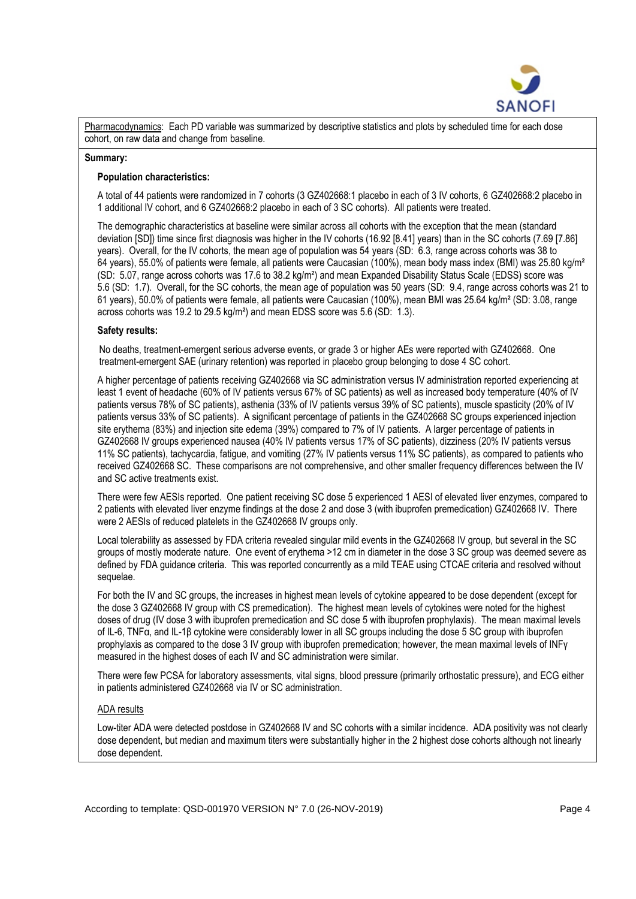

Pharmacodynamics: Each PD variable was summarized by descriptive statistics and plots by scheduled time for each dose cohort, on raw data and change from baseline.

## **Summary:**

## **Population characteristics:**

A total of 44 patients were randomized in 7 cohorts (3 GZ402668:1 placebo in each of 3 IV cohorts, 6 GZ402668:2 placebo in 1 additional IV cohort, and 6 GZ402668:2 placebo in each of 3 SC cohorts). All patients were treated.

The demographic characteristics at baseline were similar across all cohorts with the exception that the mean (standard deviation [SD]) time since first diagnosis was higher in the IV cohorts (16.92 [8.41] years) than in the SC cohorts (7.69 [7.86] years). Overall, for the IV cohorts, the mean age of population was 54 years (SD: 6.3, range across cohorts was 38 to 64 years), 55.0% of patients were female, all patients were Caucasian (100%), mean body mass index (BMI) was 25.80 kg/m² (SD: 5.07, range across cohorts was 17.6 to 38.2 kg/m²) and mean Expanded Disability Status Scale (EDSS) score was 5.6 (SD: 1.7). Overall, for the SC cohorts, the mean age of population was 50 years (SD: 9.4, range across cohorts was 21 to 61 years), 50.0% of patients were female, all patients were Caucasian (100%), mean BMI was 25.64 kg/m² (SD: 3.08, range across cohorts was 19.2 to 29.5 kg/m²) and mean EDSS score was 5.6 (SD: 1.3).

# **Safety results:**

No deaths, treatment-emergent serious adverse events, or grade 3 or higher AEs were reported with GZ402668. One treatment-emergent SAE (urinary retention) was reported in placebo group belonging to dose 4 SC cohort.

A higher percentage of patients receiving GZ402668 via SC administration versus IV administration reported experiencing at least 1 event of headache (60% of IV patients versus 67% of SC patients) as well as increased body temperature (40% of IV patients versus 78% of SC patients), asthenia (33% of IV patients versus 39% of SC patients), muscle spasticity (20% of IV patients versus 33% of SC patients). A significant percentage of patients in the GZ402668 SC groups experienced injection site erythema (83%) and injection site edema (39%) compared to 7% of IV patients. A larger percentage of patients in GZ402668 IV groups experienced nausea (40% IV patients versus 17% of SC patients), dizziness (20% IV patients versus 11% SC patients), tachycardia, fatigue, and vomiting (27% IV patients versus 11% SC patients), as compared to patients who received GZ402668 SC. These comparisons are not comprehensive, and other smaller frequency differences between the IV and SC active treatments exist.

There were few AESIs reported. One patient receiving SC dose 5 experienced 1 AESI of elevated liver enzymes, compared to 2 patients with elevated liver enzyme findings at the dose 2 and dose 3 (with ibuprofen premedication) GZ402668 IV. There were 2 AESIs of reduced platelets in the GZ402668 IV groups only.

Local tolerability as assessed by FDA criteria revealed singular mild events in the GZ402668 IV group, but several in the SC groups of mostly moderate nature. One event of erythema >12 cm in diameter in the dose 3 SC group was deemed severe as defined by FDA guidance criteria. This was reported concurrently as a mild TEAE using CTCAE criteria and resolved without sequelae.

For both the IV and SC groups, the increases in highest mean levels of cytokine appeared to be dose dependent (except for the dose 3 GZ402668 IV group with CS premedication). The highest mean levels of cytokines were noted for the highest doses of drug (IV dose 3 with ibuprofen premedication and SC dose 5 with ibuprofen prophylaxis). The mean maximal levels of IL-6, TNFα, and IL-1β cytokine were considerably lower in all SC groups including the dose 5 SC group with ibuprofen prophylaxis as compared to the dose 3 IV group with ibuprofen premedication; however, the mean maximal levels of INFγ measured in the highest doses of each IV and SC administration were similar.

There were few PCSA for laboratory assessments, vital signs, blood pressure (primarily orthostatic pressure), and ECG either in patients administered GZ402668 via IV or SC administration.

## ADA results

Low-titer ADA were detected postdose in GZ402668 IV and SC cohorts with a similar incidence. ADA positivity was not clearly dose dependent, but median and maximum titers were substantially higher in the 2 highest dose cohorts although not linearly dose dependent.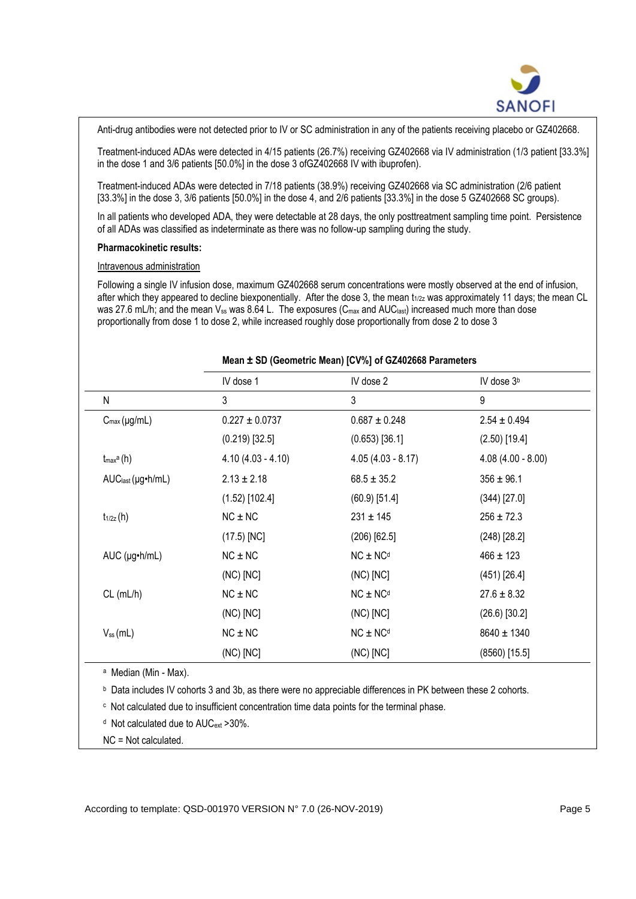

Anti-drug antibodies were not detected prior to IV or SC administration in any of the patients receiving placebo or GZ402668.

Treatment-induced ADAs were detected in 4/15 patients (26.7%) receiving GZ402668 via IV administration (1/3 patient [33.3%] in the dose 1 and 3/6 patients [50.0%] in the dose 3 ofGZ402668 IV with ibuprofen).

Treatment-induced ADAs were detected in 7/18 patients (38.9%) receiving GZ402668 via SC administration (2/6 patient [33.3%] in the dose 3, 3/6 patients [50.0%] in the dose 4, and 2/6 patients [33.3%] in the dose 5 GZ402668 SC groups).

In all patients who developed ADA, they were detectable at 28 days, the only posttreatment sampling time point. Persistence of all ADAs was classified as indeterminate as there was no follow-up sampling during the study.

## **Pharmacokinetic results:**

## Intravenous administration

Following a single IV infusion dose, maximum GZ402668 serum concentrations were mostly observed at the end of infusion, after which they appeared to decline biexponentially. After the dose 3, the mean t<sub>1/2z</sub> was approximately 11 days; the mean CL was 27.6 mL/h; and the mean V<sub>ss</sub> was 8.64 L. The exposures (C<sub>max</sub> and AUC<sub>last</sub>) increased much more than dose proportionally from dose 1 to dose 2, while increased roughly dose proportionally from dose 2 to dose 3

|                                | IV dose 1           | IV dose 2           | IV dose 3 <sup>b</sup> |  |
|--------------------------------|---------------------|---------------------|------------------------|--|
| N                              | 3                   | 3                   | 9                      |  |
| $C_{\text{max}}(\mu g/mL)$     | $0.227 \pm 0.0737$  | $0.687 \pm 0.248$   | $2.54 \pm 0.494$       |  |
|                                | $(0.219)$ [32.5]    | $(0.653)$ [36.1]    | $(2.50)$ [19.4]        |  |
| $t_{\text{max}}^{\text{a}}(h)$ | $4.10(4.03 - 4.10)$ | $4.05(4.03 - 8.17)$ | $4.08(4.00 - 8.00)$    |  |
| AUC <sub>last</sub> (µg•h/mL)  | $2.13 \pm 2.18$     | $68.5 \pm 35.2$     | $356 \pm 96.1$         |  |
|                                | $(1.52)$ [102.4]    | $(60.9)$ [51.4]     | $(344)$ [27.0]         |  |
| $t_{1/2z}$ (h)                 | $NC \pm NC$         | $231 \pm 145$       | $256 \pm 72.3$         |  |
|                                | $(17.5)$ [NC]       | $(206)$ [62.5]      | $(248)$ [28.2]         |  |
| $AUC$ (µg $\cdot$ h/mL)        | $NC + NC$           | $NC \pm NCd$        | $466 \pm 123$          |  |
|                                | $(NC)$ $[NC]$       | $(NC)$ $[NC]$       | $(451)$ [26.4]         |  |
| $CL$ (mL/h)                    | $NC + NC$           | $NC + NCd$          | $27.6 \pm 8.32$        |  |
|                                | $(NC)$ $[NC]$       | $(NC)$ $[NC]$       | $(26.6)$ [30.2]        |  |
| $V_{ss}(mL)$                   | $NC + NC$           | $NC + NCd$          | $8640 \pm 1340$        |  |
|                                | $(NC)$ $[NC]$       | $(NC)$ $[NC]$       | $(8560)$ [15.5]        |  |

# **Mean ± SD (Geometric Mean) [CV%] of GZ402668 Parameters**

a Median (Min - Max).

**b** Data includes IV cohorts 3 and 3b, as there were no appreciable differences in PK between these 2 cohorts.

<sup>c</sup> Not calculated due to insufficient concentration time data points for the terminal phase.

<sup>d</sup> Not calculated due to AUCext >30%.

NC = Not calculated.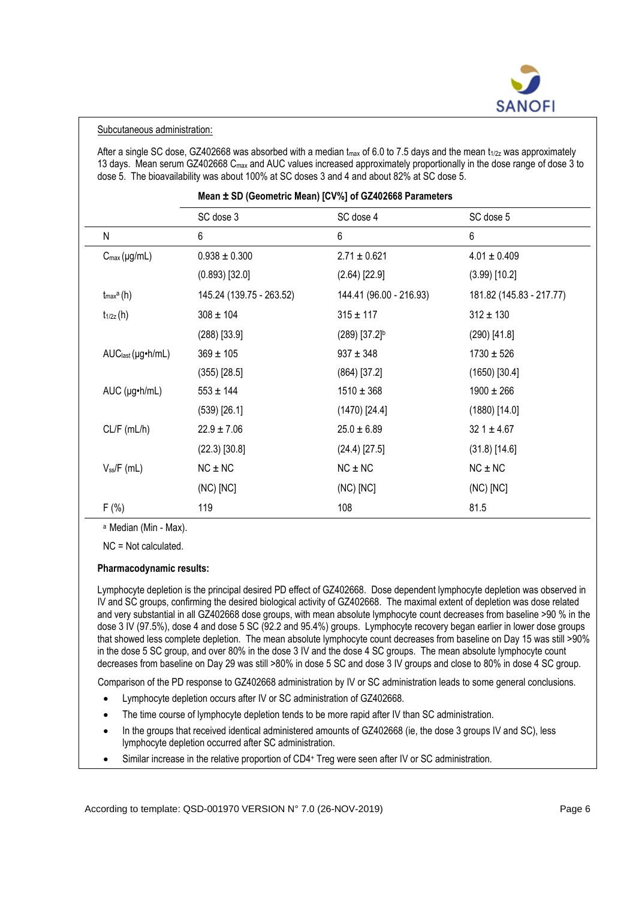

## Subcutaneous administration:

After a single SC dose, GZ402668 was absorbed with a median  $t_{max}$  of 6.0 to 7.5 days and the mean  $t_{1/2z}$  was approximately 13 days. Mean serum GZ402668 Cmax and AUC values increased approximately proportionally in the dose range of dose 3 to dose 5. The bioavailability was about 100% at SC doses 3 and 4 and about 82% at SC dose 5.

|                               | $m$ can $\pm$ OD (Ocometric mean) [OV /0] OF OZ-102000 Farameters |                           |                          |  |
|-------------------------------|-------------------------------------------------------------------|---------------------------|--------------------------|--|
|                               | SC dose 3                                                         | SC dose 4                 | SC dose 5                |  |
| ${\sf N}$                     | 6                                                                 | 6                         | 6                        |  |
| $C_{\text{max}}(\mu g/mL)$    | $0.938 \pm 0.300$                                                 | $2.71 \pm 0.621$          | $4.01 \pm 0.409$         |  |
|                               | $(0.893)$ [32.0]                                                  | $(2.64)$ [22.9]           | $(3.99)$ [10.2]          |  |
| $t_{max}$ <sup>a</sup> (h)    | 145.24 (139.75 - 263.52)                                          | 144.41 (96.00 - 216.93)   | 181.82 (145.83 - 217.77) |  |
| $t_{1/2z}$ (h)                | $308 \pm 104$                                                     | $315 \pm 117$             | $312 \pm 130$            |  |
|                               | $(288)$ [33.9]                                                    | (289) [37.2] <sup>b</sup> | $(290)$ [41.8]           |  |
| AUC <sub>last</sub> (µg•h/mL) | $369 \pm 105$                                                     | $937 \pm 348$             | $1730 \pm 526$           |  |
|                               | $(355)$ [28.5]                                                    | $(864)$ [37.2]            | $(1650)$ [30.4]          |  |
| $AUC$ ( $\mu$ g•h/mL)         | $553 \pm 144$                                                     | $1510 \pm 368$            | $1900 \pm 266$           |  |
|                               | $(539)$ [26.1]                                                    | $(1470)$ [24.4]           | $(1880)$ [14.0]          |  |
| $CL/F$ (mL/h)                 | $22.9 \pm 7.06$                                                   | $25.0 \pm 6.89$           | $321 \pm 4.67$           |  |
|                               | $(22.3)$ [30.8]                                                   | $(24.4)$ [27.5]           | $(31.8)$ [14.6]          |  |
| $V_{ss}/F$ (mL)               | $NC + NC$                                                         | $NC \pm NC$               | $NC + NC$                |  |
|                               | $(NC)$ $[NC]$                                                     | $(NC)$ $[NC]$             | $(NC)$ $[NC]$            |  |
| F(% )                         | 119                                                               | 108                       | 81.5                     |  |
|                               |                                                                   |                           |                          |  |

# **Mean ± SD (Geometric Mean) [CV%] of GZ402668 Parameters**

a Median (Min - Max).

NC = Not calculated.

# **Pharmacodynamic results:**

Lymphocyte depletion is the principal desired PD effect of GZ402668. Dose dependent lymphocyte depletion was observed in IV and SC groups, confirming the desired biological activity of GZ402668. The maximal extent of depletion was dose related and very substantial in all GZ402668 dose groups, with mean absolute lymphocyte count decreases from baseline >90 % in the dose 3 IV (97.5%), dose 4 and dose 5 SC (92.2 and 95.4%) groups. Lymphocyte recovery began earlier in lower dose groups that showed less complete depletion. The mean absolute lymphocyte count decreases from baseline on Day 15 was still >90% in the dose 5 SC group, and over 80% in the dose 3 IV and the dose 4 SC groups. The mean absolute lymphocyte count decreases from baseline on Day 29 was still >80% in dose 5 SC and dose 3 IV groups and close to 80% in dose 4 SC group.

Comparison of the PD response to GZ402668 administration by IV or SC administration leads to some general conclusions.

- Lymphocyte depletion occurs after IV or SC administration of GZ402668.
- The time course of lymphocyte depletion tends to be more rapid after IV than SC administration.
- In the groups that received identical administered amounts of GZ402668 (ie, the dose 3 groups IV and SC), less lymphocyte depletion occurred after SC administration.
- Similar increase in the relative proportion of CD4<sup>+</sup> Treg were seen after IV or SC administration.

According to template: QSD-001970 VERSION N° 7.0 (26-NOV-2019) Page 6